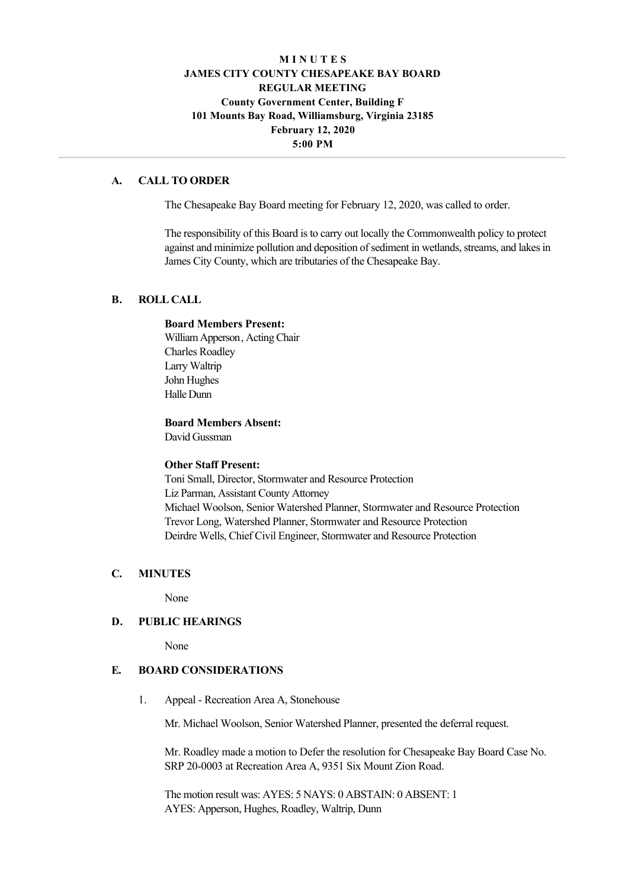# **M I N U T E S JAMES CITY COUNTY CHESAPEAKE BAY BOARD REGULAR MEETING County Government Center, Building F 101 Mounts Bay Road, Williamsburg, Virginia 23185 February 12, 2020 5:00 PM**

### **A. CALL TO ORDER**

The Chesapeake Bay Board meeting for February 12, 2020, was called to order.

The responsibility of this Board is to carry out locally the Commonwealth policy to protect against and minimize pollution and deposition of sediment in wetlands, streams, and lakes in James City County, which are tributaries of the Chesapeake Bay.

## **B. ROLL CALL**

#### **Board Members Present:**

William Apperson, Acting Chair Charles Roadley Larry Waltrip John Hughes Halle Dunn

**Board Members Absent:**

David Gussman

#### **Other Staff Present:**

Toni Small, Director, Stormwater and Resource Protection Liz Parman, Assistant County Attorney Michael Woolson, Senior Watershed Planner, Stormwater and Resource Protection Trevor Long, Watershed Planner, Stormwater and Resource Protection Deirdre Wells, Chief Civil Engineer, Stormwater and Resource Protection

### **C. MINUTES**

None

#### **D. PUBLIC HEARINGS**

None

### **E. BOARD CONSIDERATIONS**

1. Appeal - Recreation Area A, Stonehouse

Mr. Michael Woolson, Senior Watershed Planner, presented the deferral request.

Mr. Roadley made a motion to Defer the resolution for Chesapeake Bay Board Case No. SRP 20-0003 at Recreation Area A, 9351 Six Mount Zion Road.

The motion result was: AYES: 5 NAYS: 0 ABSTAIN: 0 ABSENT: 1 AYES: Apperson, Hughes, Roadley, Waltrip, Dunn